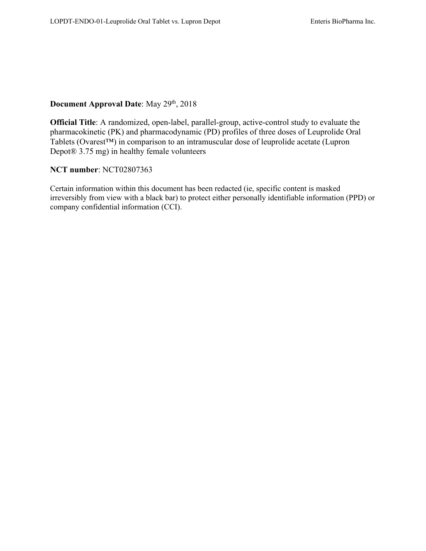# **Document Approval Date**: May 29<sup>th</sup>, 2018

**Official Title**: A randomized, open-label, parallel-group, active-control study to evaluate the pharmacokinetic (PK) and pharmacodynamic (PD) profiles of three doses of Leuprolide Oral Tablets (Ovarest™) in comparison to an intramuscular dose of leuprolide acetate (Lupron Depot® 3.75 mg) in healthy female volunteers

# **NCT number**: NCT02807363

Certain information within this document has been redacted (ie, specific content is masked irreversibly from view with a black bar) to protect either personally identifiable information (PPD) or company confidential information (CCI).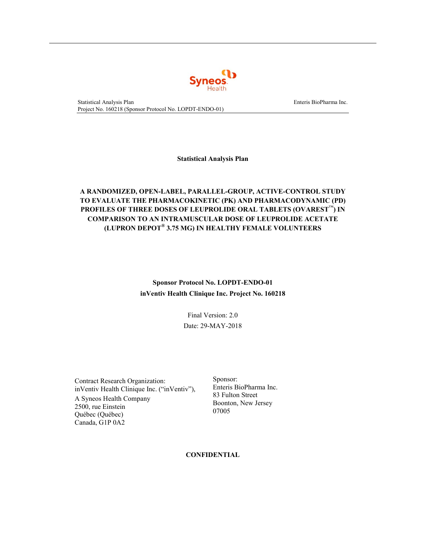

**Statistical Analysis Plan**

# **A RANDOMIZED, OPEN-LABEL, PARALLEL-GROUP, ACTIVE-CONTROL STUDY TO EVALUATE THE PHARMACOKINETIC (PK) AND PHARMACODYNAMIC (PD) PROFILES OF THREE DOSES OF LEUPROLIDE ORAL TABLETS (OVAREST**™**) IN COMPARISON TO AN INTRAMUSCULAR DOSE OF LEUPROLIDE ACETATE (LUPRON DEPOT® 3.75 MG) IN HEALTHY FEMALE VOLUNTEERS**

# **Sponsor Protocol No. LOPDT-ENDO-01 inVentiv Health Clinique Inc. Project No. 160218**

Final Version: 2.0 Date: 29-MAY-2018

Contract Research Organization: inVentiv Health Clinique Inc. ("inVentiv"),

A Syneos Health Company 2500, rue Einstein Québec (Québec) Canada, G1P 0A2

Sponsor: Enteris BioPharma Inc. 83 Fulton Street Boonton, New Jersey 07005

**CONFIDENTIAL**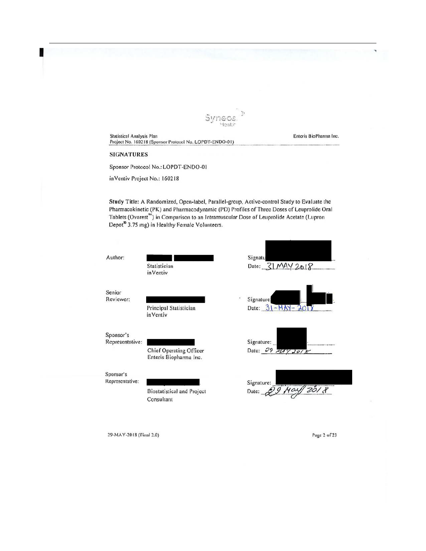

Statistical Analysis Plan **Enterior Controllering Controllering Controllering Controllering Controllering Controllering Controllering Controllering Controllering Controllering Controllering Controllering Controllering Cont** Project No. 160218 (Sponsor Protocol No. LOPDT-ENDO-01)

#### SIGNATURES

<span id="page-2-0"></span>1

Sponsor Protocol No.: LOPDT-END0-0 1

inVentiv Project No.: 160218

Study Titlc: A Randomized, Open-label, Parallel-group, Active-control Study to Evaluate the Pharmacokinetic (PK) and Pharmacodynamic (PD) Profiles of Three Doses of Leuprolide Oral Tablets (Ovarest"') in Comparison to an Jntramusculnr Dose of Leuprolide Acetate (Lupron Depot<sup>®</sup> 3.75 mg) in Healthy Female Volunteers.



29-MA Y -2018 (f'innl 2.0)

Page 2 of 23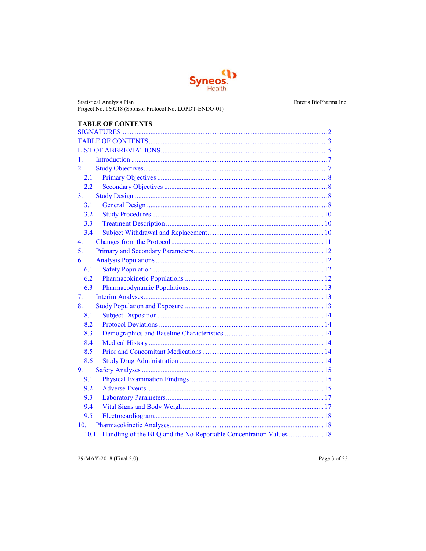

<span id="page-3-0"></span>**Statistical Analysis Plan** Project No. 160218 (Sponsor Protocol No. LOPDT-ENDO-01) **TABLE OF CONTENTS**  $1.$  $\overline{2}$ .  $2.1$  $2.2$ 3.  $3.1$  $3.2$  $3.3$  $3.4$ 4. 5. 6. 6.1 6.2 6.3 7. 8.  $8.1$ 8.2 8.3 8.4 8.5 8.6 9. 9.1 9.2 9.3 9.4 9.5 10. 10.1

29-MAY-2018 (Final 2.0)

Page 3 of 23

Enteris BioPharma Inc.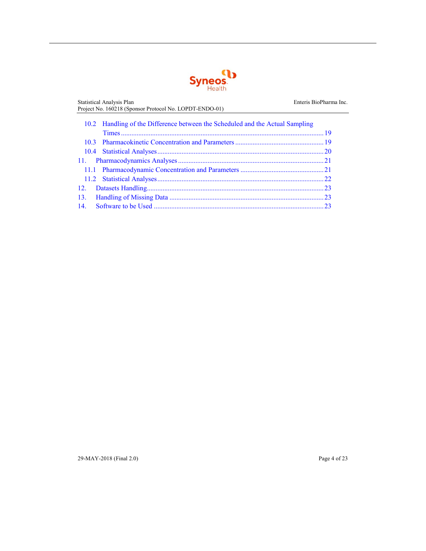

Statistical Analysis Plan **Enteris BioPharma Inc.** Enteris BioPharma Inc. Project No. 160218 (Sponsor Protocol No. LOPDT-ENDO-01) 10.2 [Handling of the Difference between the Scheduled and the Actual Sampling](#page-19-0)  [Times ..................................................................................................................... 19](#page-19-0) 10.3 [Pharmacokinetic Concentration and Parameters ................................................... 19](#page-19-1) 10.4 [Statistical Analyses ................................................................................................ 20](#page-20-0) 11. [Pharmacodynamics Analyses .................................................................................... 21](#page-21-0) 11.1 [Pharmacodynamic Concentration and Parameters ................................................ 21](#page-21-1) 11.2 [Statistical Analyses ................................................................................................ 22](#page-22-0) 12. [Datasets Handling ...................................................................................................... 23](#page-23-0) [13. Handling of Missing Data ......................................................................................... 23](#page-23-1) 14. [Software to be Used .................................................................................................. 23](#page-23-2)

29-MAY-2018 (Final 2.0) Page 4 of 23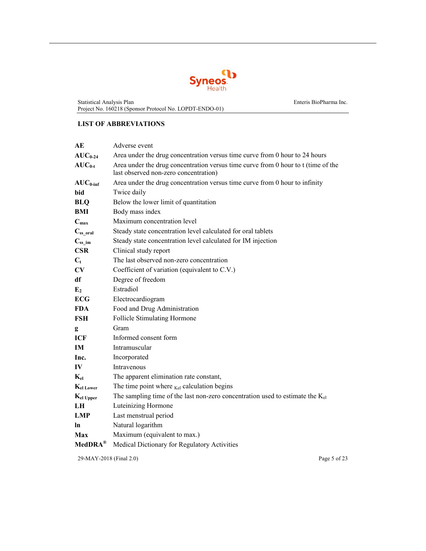

## <span id="page-5-0"></span>**LIST OF ABBREVIATIONS**

| AE                       | Adverse event                                                                                                              |  |  |
|--------------------------|----------------------------------------------------------------------------------------------------------------------------|--|--|
| $AUC_{0-24}$             | Area under the drug concentration versus time curve from 0 hour to 24 hours                                                |  |  |
| $AUC_{0-t}$              | Area under the drug concentration versus time curve from 0 hour to t (time of the<br>last observed non-zero concentration) |  |  |
| $AUC_{0\text{-inf}}$     | Area under the drug concentration versus time curve from 0 hour to infinity                                                |  |  |
| bid                      | Twice daily                                                                                                                |  |  |
| <b>BLQ</b>               | Below the lower limit of quantitation                                                                                      |  |  |
| BMI                      | Body mass index                                                                                                            |  |  |
| $C_{\text{max}}$         | Maximum concentration level                                                                                                |  |  |
| $C_{ss\_oral}$           | Steady state concentration level calculated for oral tablets                                                               |  |  |
| $\mathrm{C_{ss\_im}}$    | Steady state concentration level calculated for IM injection                                                               |  |  |
| <b>CSR</b>               | Clinical study report                                                                                                      |  |  |
| $C_t$                    | The last observed non-zero concentration                                                                                   |  |  |
| CV                       | Coefficient of variation (equivalent to C.V.)                                                                              |  |  |
| df                       | Degree of freedom                                                                                                          |  |  |
| E <sub>2</sub>           | Estradiol                                                                                                                  |  |  |
| <b>ECG</b>               | Electrocardiogram                                                                                                          |  |  |
| <b>FDA</b>               | Food and Drug Administration                                                                                               |  |  |
| FSH                      | <b>Follicle Stimulating Hormone</b>                                                                                        |  |  |
| g                        | Gram                                                                                                                       |  |  |
| <b>ICF</b>               | Informed consent form                                                                                                      |  |  |
| <b>IM</b>                | Intramuscular                                                                                                              |  |  |
| Inc.                     | Incorporated                                                                                                               |  |  |
| IV                       | Intravenous                                                                                                                |  |  |
| $\mathbf{K}_{\text{el}}$ | The apparent elimination rate constant,                                                                                    |  |  |
| $K_{el\,Lower}$          | The time point where $_{\text{Kel}}$ calculation begins                                                                    |  |  |
| $K_{el}$ Upper           | The sampling time of the last non-zero concentration used to estimate the $K_{el}$                                         |  |  |
| LH                       | Luteinizing Hormone                                                                                                        |  |  |
| <b>LMP</b>               | Last menstrual period                                                                                                      |  |  |
| ln                       | Natural logarithm                                                                                                          |  |  |
| Max                      | Maximum (equivalent to max.)                                                                                               |  |  |
| $MedDRA^{\circledR}$     | Medical Dictionary for Regulatory Activities                                                                               |  |  |

29-MAY-2018 (Final 2.0) Page 5 of 23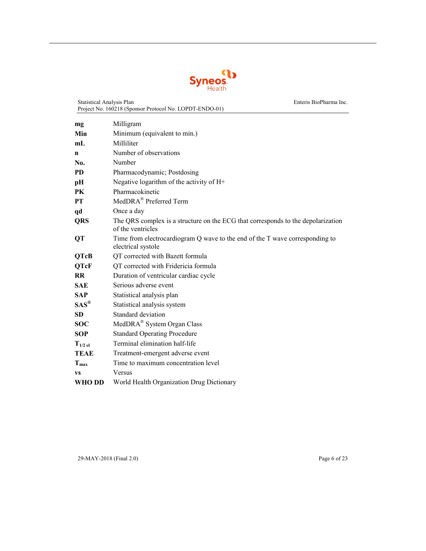

Statistical Analysis Plan Enteris BioPharma Inc.

|                      | Project No. 160218 (Sponsor Protocol No. LOPDT-ENDO-01)                                               |
|----------------------|-------------------------------------------------------------------------------------------------------|
| mg                   | Milligram                                                                                             |
| Min                  | Minimum (equivalent to min.)                                                                          |
| mL                   | Milliliter                                                                                            |
| n                    | Number of observations                                                                                |
| No.                  | Number                                                                                                |
| <b>PD</b>            | Pharmacodynamic; Postdosing                                                                           |
| pН                   | Negative logarithm of the activity of H+                                                              |
| PK                   | Pharmacokinetic                                                                                       |
| <b>PT</b>            | MedDRA <sup>®</sup> Preferred Term                                                                    |
| qd                   | Once a day                                                                                            |
| <b>QRS</b>           | The QRS complex is a structure on the ECG that corresponds to the depolarization<br>of the ventricles |
| QT                   | Time from electrocardiogram Q wave to the end of the T wave corresponding to<br>electrical systole    |
| <b>QTcB</b>          | QT corrected with Bazett formula                                                                      |
| <b>QTcF</b>          | QT corrected with Fridericia formula                                                                  |
| <b>RR</b>            | Duration of ventricular cardiac cycle                                                                 |
| <b>SAE</b>           | Serious adverse event                                                                                 |
| <b>SAP</b>           | Statistical analysis plan                                                                             |
| $SAS^{\circledR}$    | Statistical analysis system                                                                           |
| SD                   | Standard deviation                                                                                    |
| <b>SOC</b>           | MedDRA <sup>®</sup> System Organ Class                                                                |
| <b>SOP</b>           | <b>Standard Operating Procedure</b>                                                                   |
| $T_{1/2 \text{ el}}$ | Terminal elimination half-life                                                                        |
| <b>TEAE</b>          | Treatment-emergent adverse event                                                                      |
| $T_{max}$            | Time to maximum concentration level                                                                   |
| <b>VS</b>            | Versus                                                                                                |
| WHO DD               | World Health Organization Drug Dictionary                                                             |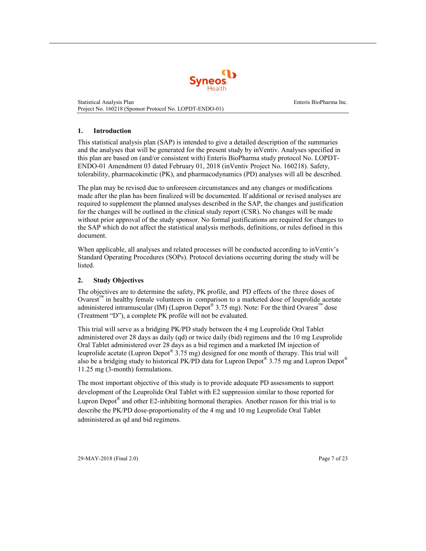

#### <span id="page-7-0"></span>**1. Introduction**

This statistical analysis plan (SAP) is intended to give a detailed description of the summaries and the analyses that will be generated for the present study by inVentiv. Analyses specified in this plan are based on (and/or consistent with) Enteris BioPharma study protocol No. LOPDT-ENDO-01 Amendment 03 dated February 01, 2018 (inVentiv Project No. 160218). Safety, tolerability, pharmacokinetic (PK), and pharmacodynamics (PD) analyses will all be described.

The plan may be revised due to unforeseen circumstances and any changes or modifications made after the plan has been finalized will be documented. If additional or revised analyses are required to supplement the planned analyses described in the SAP, the changes and justification for the changes will be outlined in the clinical study report (CSR). No changes will be made without prior approval of the study sponsor. No formal justifications are required for changes to the SAP which do not affect the statistical analysis methods, definitions, or rules defined in this document.

When applicable, all analyses and related processes will be conducted according to inVentiv's Standard Operating Procedures (SOPs). Protocol deviations occurring during the study will be listed.

## <span id="page-7-1"></span>**2. Study Objectives**

The objectives are to determine the safety, PK profile, and PD effects of the three doses of Ovarest™ in healthy female volunteers in comparison to a marketed dose of leuprolide acetate administered intramuscular (IM) (Lupron Depot<sup>®</sup> 3.75 mg). Note: For the third Ovarest<sup>™</sup> dose (Treatment "D"), a complete PK profile will not be evaluated.

This trial will serve as a bridging PK/PD study between the 4 mg Leuprolide Oral Tablet administered over 28 days as daily (qd) or twice daily (bid) regimens and the 10 mg Leuprolide Oral Tablet administered over 28 days as a bid regimen and a marketed IM injection of leuprolide acetate (Lupron Depot<sup>®</sup> 3.75 mg) designed for one month of therapy. This trial will also be a bridging study to historical PK/PD data for Lupron Depot<sup>®</sup> 3.75 mg and Lupron Depot<sup>®</sup> 11.25 mg (3-month) formulations.

The most important objective of this study is to provide adequate PD assessments to support development of the Leuprolide Oral Tablet with E2 suppression similar to those reported for Lupron Depot<sup>®</sup> and other E2-inhibiting hormonal therapies. Another reason for this trial is to describe the PK/PD dose-proportionality of the 4 mg and 10 mg Leuprolide Oral Tablet administered as qd and bid regimens.

29-MAY-2018 (Final 2.0) Page 7 of 23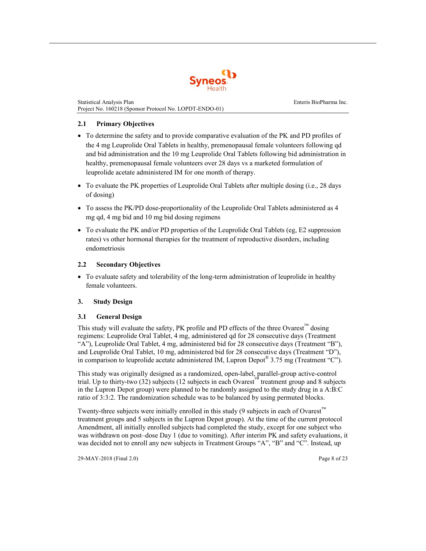

#### <span id="page-8-0"></span>**2.1 Primary Objectives**

- To determine the safety and to provide comparative evaluation of the PK and PD profiles of the 4 mg Leuprolide Oral Tablets in healthy, premenopausal female volunteers following qd and bid administration and the 10 mg Leuprolide Oral Tablets following bid administration in healthy, premenopausal female volunteers over 28 days vs a marketed formulation of leuprolide acetate administered IM for one month of therapy.
- To evaluate the PK properties of Leuprolide Oral Tablets after multiple dosing (i.e., 28 days of dosing)
- To assess the PK/PD dose-proportionality of the Leuprolide Oral Tablets administered as 4 mg qd, 4 mg bid and 10 mg bid dosing regimens
- To evaluate the PK and/or PD properties of the Leuprolide Oral Tablets (eg, E2 suppression rates) vs other hormonal therapies for the treatment of reproductive disorders, including endometriosis

#### <span id="page-8-1"></span>**2.2 Secondary Objectives**

• To evaluate safety and tolerability of the long-term administration of leuprolide in healthy female volunteers.

## <span id="page-8-2"></span>**3. Study Design**

#### <span id="page-8-3"></span>**3.1 General Design**

This study will evaluate the safety, PK profile and PD effects of the three Ovarest<sup>™</sup> dosing regimens: Leuprolide Oral Tablet, 4 mg, administered qd for 28 consecutive days (Treatment "A"), Leuprolide Oral Tablet, 4 mg, administered bid for 28 consecutive days (Treatment "B"), and Leuprolide Oral Tablet, 10 mg, administered bid for 28 consecutive days (Treatment "D"), in comparison to leuprolide acetate administered IM, Lupron Depot<sup>®</sup> 3.75 mg (Treatment "C").

This study was originally designed as a randomized, open-label, parallel-group active-control trial. Up to thirty-two (32) subjects (12 subjects in each Ovarest™ treatment group and 8 subjects in the Lupron Depot group) were planned to be randomly assigned to the study drug in a A:B:C ratio of 3:3:2. The randomization schedule was to be balanced by using permuted blocks.

Twenty-three subjects were initially enrolled in this study (9 subjects in each of Ovarest™ treatment groups and 5 subjects in the Lupron Depot group). At the time of the current protocol Amendment, all initially enrolled subjects had completed the study, except for one subject who was withdrawn on post–dose Day 1 (due to vomiting). After interim PK and safety evaluations, it was decided not to enroll any new subjects in Treatment Groups "A", "B" and "C". Instead, up

29-MAY-2018 (Final 2.0) Page 8 of 23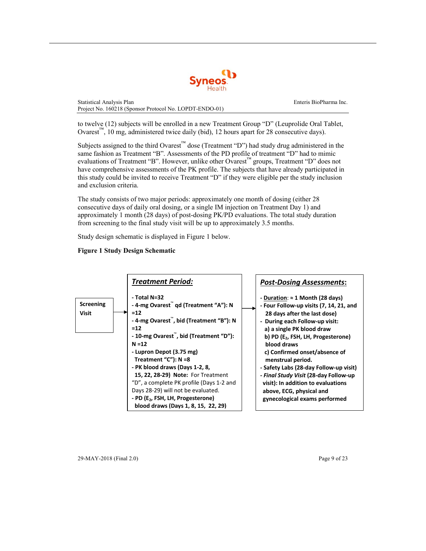

to twelve (12) subjects will be enrolled in a new Treatment Group "D" (Leuprolide Oral Tablet, Ovarest™, 10 mg, administered twice daily (bid), 12 hours apart for 28 consecutive days).

Subjects assigned to the third Ovarest™ dose (Treatment "D") had study drug administered in the same fashion as Treatment "B". Assessments of the PD profile of treatment "D" had to mimic evaluations of Treatment "B". However, unlike other Ovarest™ groups, Treatment "D" does not have comprehensive assessments of the PK profile. The subjects that have already participated in this study could be invited to receive Treatment "D" if they were eligible per the study inclusion and exclusion criteria.

The study consists of two major periods: approximately one month of dosing (either 28 consecutive days of daily oral dosing, or a single IM injection on Treatment Day 1) and approximately 1 month (28 days) of post-dosing PK/PD evaluations. The total study duration from screening to the final study visit will be up to approximately 3.5 months.

Study design schematic is displayed in Figure 1 below.

## **Figure 1 Study Design Schematic**



29-MAY-2018 (Final 2.0) Page 9 of 23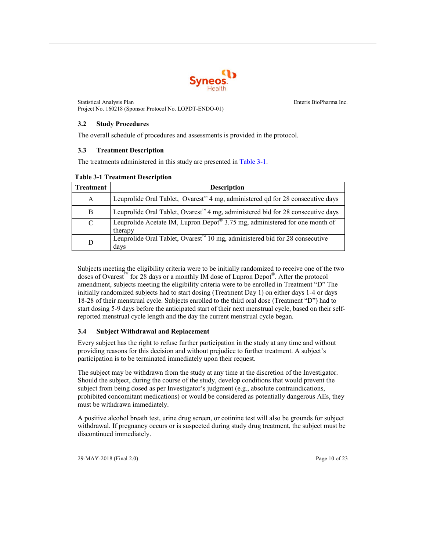

#### <span id="page-10-1"></span><span id="page-10-0"></span>**3.2 Study Procedures**

The overall schedule of procedures and assessments is provided in the protocol.

#### <span id="page-10-3"></span>**3.3 Treatment Description**

The treatments administered in this study are presented in [Table 3-1.](#page-10-3)

| <b>Treatment</b> | <b>Description</b>                                                                                      |  |  |
|------------------|---------------------------------------------------------------------------------------------------------|--|--|
| A                | Leuprolide Oral Tablet, Ovarest <sup><math>m</math></sup> 4 mg, administered qd for 28 consecutive days |  |  |
| B                | Leuprolide Oral Tablet, Ovarest <sup>™</sup> 4 mg, administered bid for 28 consecutive days             |  |  |
| C                | Leuprolide Acetate IM, Lupron Depot <sup>®</sup> 3.75 mg, administered for one month of<br>therapy      |  |  |
| D                | Leuprolide Oral Tablet, Ovarest <sup>™</sup> 10 mg, administered bid for 28 consecutive<br>days         |  |  |

#### **Table 3-1 Treatment Description**

Subjects meeting the eligibility criteria were to be initially randomized to receive one of the two doses of Ovarest™ for 28 days or a monthly IM dose of Lupron Depot®. After the protocol amendment, subjects meeting the eligibility criteria were to be enrolled in Treatment "D" The initially randomized subjects had to start dosing (Treatment Day 1) on either days 1-4 or days 18-28 of their menstrual cycle. Subjects enrolled to the third oral dose (Treatment "D") had to start dosing 5-9 days before the anticipated start of their next menstrual cycle, based on their selfreported menstrual cycle length and the day the current menstrual cycle began.

## **3.4 Subject Withdrawal and Replacement**

<span id="page-10-2"></span>Every subject has the right to refuse further participation in the study at any time and without providing reasons for this decision and without prejudice to further treatment. A subject's participation is to be terminated immediately upon their request.

The subject may be withdrawn from the study at any time at the discretion of the Investigator. Should the subject, during the course of the study, develop conditions that would prevent the subject from being dosed as per Investigator's judgment (e.g., absolute contraindications, prohibited concomitant medications) or would be considered as potentially dangerous AEs, they must be withdrawn immediately.

A positive alcohol breath test, urine drug screen, or cotinine test will also be grounds for subject withdrawal. If pregnancy occurs or is suspected during study drug treatment, the subject must be discontinued immediately.

29-MAY-2018 (Final 2.0) Page 10 of 23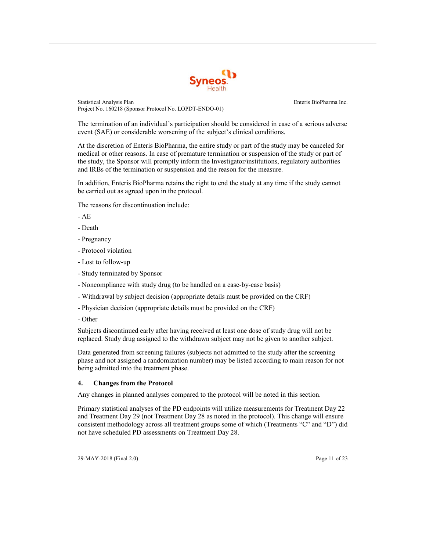

The termination of an individual's participation should be considered in case of a serious adverse event (SAE) or considerable worsening of the subject's clinical conditions.

At the discretion of Enteris BioPharma, the entire study or part of the study may be canceled for medical or other reasons. In case of premature termination or suspension of the study or part of the study, the Sponsor will promptly inform the Investigator/institutions, regulatory authorities and IRBs of the termination or suspension and the reason for the measure.

In addition, Enteris BioPharma retains the right to end the study at any time if the study cannot be carried out as agreed upon in the protocol.

The reasons for discontinuation include:

- $-AE$
- Death
- Pregnancy
- Protocol violation
- Lost to follow-up
- Study terminated by Sponsor
- Noncompliance with study drug (to be handled on a case-by-case basis)
- Withdrawal by subject decision (appropriate details must be provided on the CRF)
- Physician decision (appropriate details must be provided on the CRF)
- Other

Subjects discontinued early after having received at least one dose of study drug will not be replaced. Study drug assigned to the withdrawn subject may not be given to another subject.

Data generated from screening failures (subjects not admitted to the study after the screening phase and not assigned a randomization number) may be listed according to main reason for not being admitted into the treatment phase.

#### **4. Changes from the Protocol**

Any changes in planned analyses compared to the protocol will be noted in this section.

<span id="page-11-0"></span>Primary statistical analyses of the PD endpoints will utilize measurements for Treatment Day 22 and Treatment Day 29 (not Treatment Day 28 as noted in the protocol). This change will ensure consistent methodology across all treatment groups some of which (Treatments "C" and "D") did not have scheduled PD assessments on Treatment Day 28.

29-MAY-2018 (Final 2.0) Page 11 of 23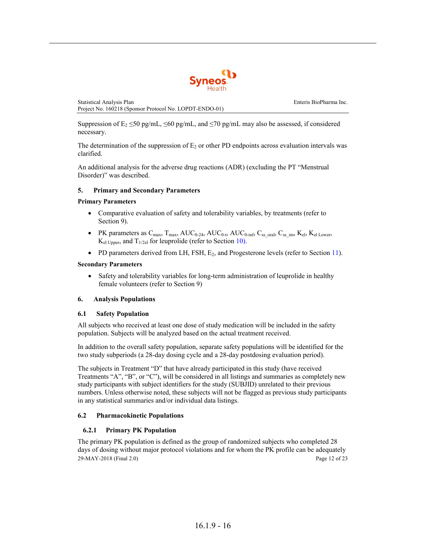

Suppression of  $E_2 \le 50$  pg/mL,  $\le 60$  pg/mL, and  $\le 70$  pg/mL may also be assessed, if considered necessary.

The determination of the suppression of  $E_2$  or other PD endpoints across evaluation intervals was clarified.

<span id="page-12-0"></span>An additional analysis for the adverse drug reactions (ADR) (excluding the PT "Menstrual Disorder)" was described.

#### **5. Primary and Secondary Parameters**

#### **Primary Parameters**

- Comparative evaluation of safety and tolerability variables, by treatments (refer to [Section](#page-15-0) 9).
- PK parameters as  $C_{\text{max}}$ ,  $T_{\text{max}}$ ,  $AUC_{0.24}$ ,  $AUC_{0.4}$ ,  $AUC_{0.4}$ ,  $C_{\text{ss}}$  oral,  $C_{\text{ss}}$  im,  $K_{\text{el}}$ ,  $K_{\text{el}}$  Lower,  $K_{el \text{ Upper}}$ , and  $T_{1/2el}$  for leuprolide (refer to [Section 10\).](#page-18-1)
- PD parameters derived from LH, FSH,  $E_2$ , and Progesterone levels (refer to [Section 11\)](#page-21-0).

#### **Secondary Parameters**

• Safety and tolerability variables for long-term administration of leuprolide in healthy female volunteers (refer to [Section](#page-15-0) 9)

#### <span id="page-12-1"></span>**6. Analysis Populations**

#### <span id="page-12-2"></span>**6.1 Safety Population**

All subjects who received at least one dose of study medication will be included in the safety population. Subjects will be analyzed based on the actual treatment received.

In addition to the overall safety population, separate safety populations will be identified for the two study subperiods (a 28-day dosing cycle and a 28-day postdosing evaluation period).

The subjects in Treatment "D" that have already participated in this study (have received Treatments "A", "B", or "C"), will be considered in all listings and summaries as completely new study participants with subject identifiers for the study (SUBJID) unrelated to their previous numbers. Unless otherwise noted, these subjects will not be flagged as previous study participants in any statistical summaries and/or individual data listings.

#### **6.2 Pharmacokinetic Populations**

## **6.2.1 Primary PK Population**

<span id="page-12-3"></span>29-MAY-2018 (Final 2.0) Page 12 of 23 The primary PK population is defined as the group of randomized subjects who completed 28 days of dosing without major protocol violations and for whom the PK profile can be adequately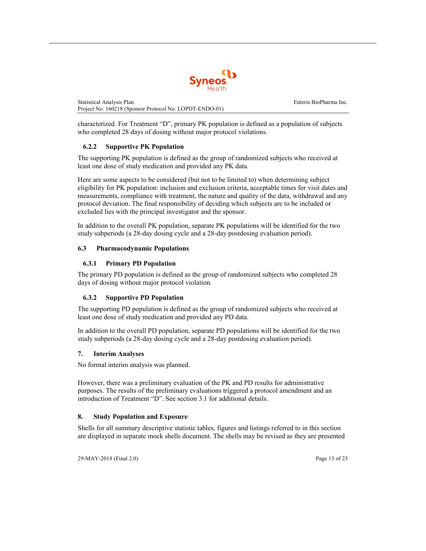

characterized. For Treatment "D", primary PK population is defined as a population of subjects who completed 28 days of dosing without major protocol violations.

## **6.2.2 Supportive PK Population**

The supporting PK population is defined as the group of randomized subjects who received at least one dose of study medication and provided any PK data.

Here are some aspects to be considered (but not to be limited to) when determining subject eligibility for PK population: inclusion and exclusion criteria, acceptable times for visit dates and measurements, compliance with treatment, the nature and quality of the data, withdrawal and any protocol deviation. The final responsibility of deciding which subjects are to be included or excluded lies with the principal investigator and the sponsor.

In addition to the overall PK population, separate PK populations will be identified for the two study subperiods (a 28-day dosing cycle and a 28-day postdosing evaluation period).

## <span id="page-13-0"></span>**6.3 Pharmacodynamic Populations**

## **6.3.1 Primary PD Population**

The primary PD population is defined as the group of randomized subjects who completed 28 days of dosing without major protocol violation.

## **6.3.2 Supportive PD Population**

The supporting PD population is defined as the group of randomized subjects who received at least one dose of study medication and provided any PD data.

In addition to the overall PD population, separate PD populations will be identified for the two study subperiods (a 28-day dosing cycle and a 28-day postdosing evaluation period).

## **7. Interim Analyses**

<span id="page-13-1"></span>No formal interim analysis was planned.

However, there was a preliminary evaluation of the PK and PD results for administrative purposes. The results of the preliminary evaluations triggered a protocol amendment and an introduction of Treatment "D". See [section 3.1 f](#page-8-3)or additional details.

## **8. Study Population and Exposure**

Shells for all summary descriptive statistic tables, figures and listings referred to in this section are displayed in separate mock shells document. The shells may be revised as they are presented

<span id="page-13-2"></span>29-MAY-2018 (Final 2.0) Page 13 of 23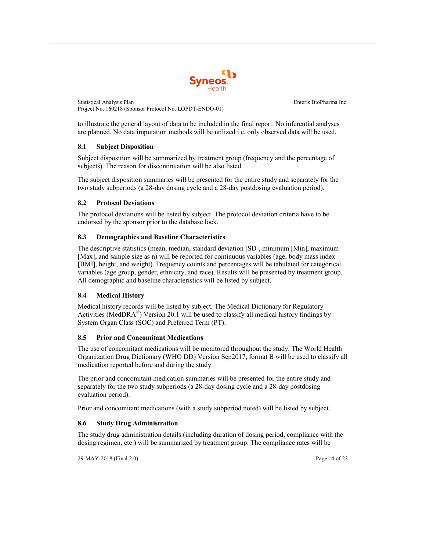

<span id="page-14-0"></span>to illustrate the general layout of data to be included in the final report. No inferential analyses are planned. No data imputation methods will be utilized i.e. only observed data will be used.

## **8.1 Subject Disposition**

Subject disposition will be summarized by treatment group (frequency and the percentage of subjects). The reason for discontinuation will be also listed.

<span id="page-14-1"></span>The subject disposition summaries will be presented for the entire study and separately for the two study subperiods (a 28-day dosing cycle and a 28-day postdosing evaluation period).

## **8.2 Protocol Deviations**

The protocol deviations will be listed by subject. The protocol deviation criteria have to be endorsed by the sponsor prior to the database lock.

## <span id="page-14-2"></span>**8.3 Demographics and Baseline Characteristics**

The descriptive statistics (mean, median, standard deviation [SD], minimum [Min], maximum [Max], and sample size as n) will be reported for continuous variables (age, body mass index [BMI], height, and weight). Frequency counts and percentages will be tabulated for categorical variables (age group, gender, ethnicity, and race). Results will be presented by treatment group. All demographic and baseline characteristics will be listed by subject.

## <span id="page-14-3"></span>**8.4 Medical History**

Medical history records will be listed by subject. The Medical Dictionary for Regulatory Activities (MedDRA<sup>®</sup>) Version 20.1 will be used to classify all medical history findings by System Organ Class (SOC) and Preferred Term (PT).

## **8.5 Prior and Concomitant Medications**

<span id="page-14-4"></span>The use of concomitant medications will be monitored throughout the study. The World Health Organization Drug Dictionary (WHO DD) Version Sep2017, format B will be used to classify all medication reported before and during the study.

The prior and concomitant medication summaries will be presented for the entire study and separately for the two study subperiods (a 28-day dosing cycle and a 28-day postdosing evaluation period).

Prior and concomitant medications (with a study subperiod noted) will be listed by subject.

## **8.6 Study Drug Administration**

The study drug administration details (including duration of dosing period, compliance with the dosing regimen, etc.) will be summarized by treatment group. The compliance rates will be

<span id="page-14-5"></span>29-MAY-2018 (Final 2.0) Page 14 of 23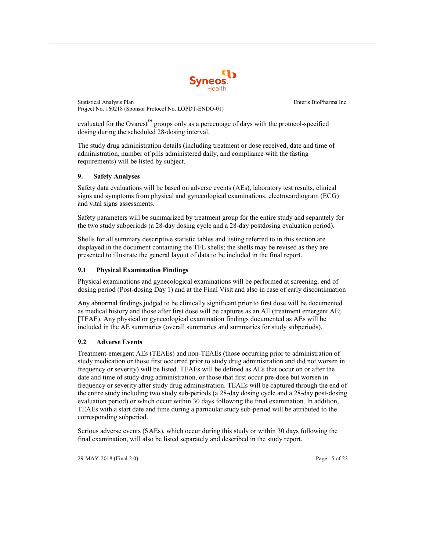

evaluated for the Ovarest<sup>™</sup> groups only as a percentage of days with the protocol-specified dosing during the scheduled 28-dosing interval.

<span id="page-15-0"></span>The study drug administration details (including treatment or dose received, date and time of administration, number of pills administered daily, and compliance with the fasting requirements) will be listed by subject.

## **9. Safety Analyses**

Safety data evaluations will be based on adverse events (AEs), laboratory test results, clinical signs and symptoms from physical and gynecological examinations, electrocardiogram (ECG) and vital signs assessments.

Safety parameters will be summarized by treatment group for the entire study and separately for the two study subperiods (a 28-day dosing cycle and a 28-day postdosing evaluation period).

Shells for all summary descriptive statistic tables and listing referred to in this section are displayed in the document containing the TFL shells; the shells may be revised as they are presented to illustrate the general layout of data to be included in the final report.

## <span id="page-15-1"></span>**9.1 Physical Examination Findings**

Physical examinations and gynecological examinations will be performed at screening, end of dosing period (Post-dosing Day 1) and at the Final Visit and also in case of early discontinuation

Any abnormal findings judged to be clinically significant prior to first dose will be documented as medical history and those after first dose will be captures as an AE (treatment emergent AE; [TEAE). Any physical or gynecological examination findings documented as AEs will be included in the AE summaries (overall summaries and summaries for study subperiods).

## **9.2 Adverse Events**

<span id="page-15-2"></span>Treatment-emergent AEs (TEAEs) and non-TEAEs (those occurring prior to administration of study medication or those first occurred prior to study drug administration and did not worsen in frequency or severity) will be listed. TEAEs will be defined as AEs that occur on or after the date and time of study drug administration, or those that first occur pre-dose but worsen in frequency or severity after study drug administration. TEAEs will be captured through the end of the entire study including two study sub-periods (a 28-day dosing cycle and a 28-day post-dosing evaluation period) or which occur within 30 days following the final examination. In addition, TEAEs with a start date and time during a particular study sub-period will be attributed to the corresponding subperiod.

Serious adverse events (SAEs), which occur during this study or within 30 days following the final examination, will also be listed separately and described in the study report.

29-MAY-2018 (Final 2.0) Page 15 of 23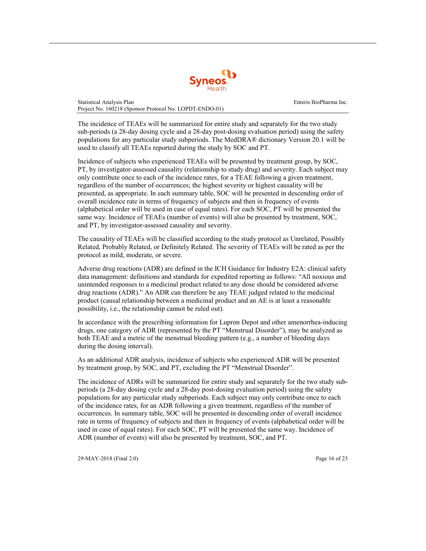

The incidence of TEAEs will be summarized for entire study and separately for the two study sub-periods (a 28-day dosing cycle and a 28-day post-dosing evaluation period) using the safety populations for any particular study subperiods. The MedDRA® dictionary Version 20.1 will be used to classify all TEAEs reported during the study by SOC and PT.

Incidence of subjects who experienced TEAEs will be presented by treatment group, by SOC, PT, by investigator-assessed causality (relationship to study drug) and severity. Each subject may only contribute once to each of the incidence rates, for a TEAE following a given treatment, regardless of the number of occurrences; the highest severity or highest causality will be presented, as appropriate. In each summary table, SOC will be presented in descending order of overall incidence rate in terms of frequency of subjects and then in frequency of events (alphabetical order will be used in case of equal rates). For each SOC, PT will be presented the same way. Incidence of TEAEs (number of events) will also be presented by treatment, SOC, and PT, by investigator-assessed causality and severity.

The causality of TEAEs will be classified according to the study protocol as Unrelated, Possibly Related, Probably Related, or Definitely Related. The severity of TEAEs will be rated as per the protocol as mild, moderate, or severe.

Adverse drug reactions (ADR) are defined in the ICH Guidance for Industry E2A: clinical safety data management: definitions and standards for expedited reporting as follows: "All noxious and unintended responses to a medicinal product related to any dose should be considered adverse drug reactions (ADR)." An ADR can therefore be any TEAE judged related to the medicinal product (causal relationship between a medicinal product and an AE is at least a reasonable possibility, i.e., the relationship cannot be ruled out).

In accordance with the prescribing information for Lupron Depot and other amenorrhea-inducing drugs, one category of ADR (represented by the PT "Menstrual Disorder"), may be analyzed as both TEAE and a metric of the menstrual bleeding pattern (e.g., a number of bleeding days during the dosing interval).

As an additional ADR analysis, incidence of subjects who experienced ADR will be presented by treatment group, by SOC, and PT, excluding the PT "Menstrual Disorder".

The incidence of ADRs will be summarized for entire study and separately for the two study subperiods (a 28-day dosing cycle and a 28-day post-dosing evaluation period) using the safety populations for any particular study subperiods. Each subject may only contribute once to each of the incidence rates, for an ADR following a given treatment, regardless of the number of occurrences. In summary table, SOC will be presented in descending order of overall incidence rate in terms of frequency of subjects and then in frequency of events (alphabetical order will be used in case of equal rates). For each SOC, PT will be presented the same way. Incidence of ADR (number of events) will also be presented by treatment, SOC, and PT.

29-MAY-2018 (Final 2.0) Page 16 of 23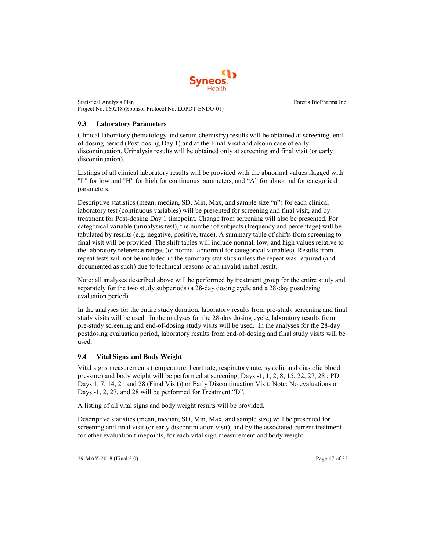

#### <span id="page-17-0"></span>**9.3 Laboratory Parameters**

Clinical laboratory (hematology and serum chemistry) results will be obtained at screening, end of dosing period (Post-dosing Day 1) and at the Final Visit and also in case of early discontinuation. Urinalysis results will be obtained only at screening and final visit (or early discontinuation).

Listings of all clinical laboratory results will be provided with the abnormal values flagged with "L" for low and "H" for high for continuous parameters, and "A" for abnormal for categorical parameters.

Descriptive statistics (mean, median, SD, Min, Max, and sample size "n") for each clinical laboratory test (continuous variables) will be presented for screening and final visit, and by treatment for Post-dosing Day 1 timepoint. Change from screening will also be presented. For categorical variable (urinalysis test), the number of subjects (frequency and percentage) will be tabulated by results (e.g. negative, positive, trace). A summary table of shifts from screening to final visit will be provided. The shift tables will include normal, low, and high values relative to the laboratory reference ranges (or normal-abnormal for categorical variables). Results from repeat tests will not be included in the summary statistics unless the repeat was required (and documented as such) due to technical reasons or an invalid initial result.

Note: all analyses described above will be performed by treatment group for the entire study and separately for the two study subperiods (a 28-day dosing cycle and a 28-day postdosing evaluation period).

In the analyses for the entire study duration, laboratory results from pre-study screening and final study visits will be used. In the analyses for the 28-day dosing cycle, laboratory results from pre-study screening and end-of-dosing study visits will be used. In the analyses for the 28-day postdosing evaluation period, laboratory results from end-of-dosing and final study visits will be used.

#### **9.4 Vital Signs and Body Weight**

<span id="page-17-1"></span>Vital signs measurements (temperature, heart rate, respiratory rate, systolic and diastolic blood pressure) and body weight will be performed at screening, Days -1, 1, 2, 8, 15, 22, 27, 28 ; PD Days 1, 7, 14, 21 and 28 (Final Visit)) or Early Discontinuation Visit. Note: No evaluations on Days -1, 2, 27, and 28 will be performed for Treatment "D".

A listing of all vital signs and body weight results will be provided.

Descriptive statistics (mean, median, SD, Min, Max, and sample size) will be presented for screening and final visit (or early discontinuation visit), and by the associated current treatment for other evaluation timepoints, for each vital sign measurement and body weight.

29-MAY-2018 (Final 2.0) Page 17 of 23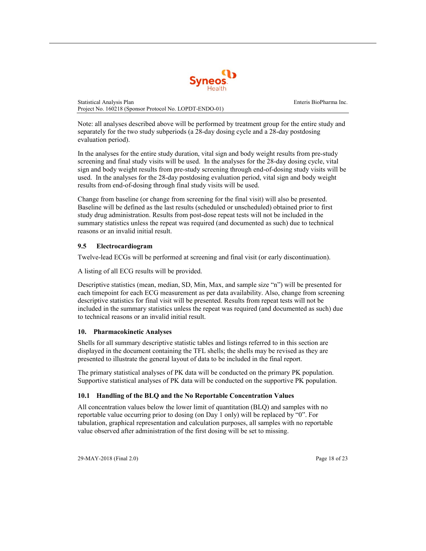

Note: all analyses described above will be performed by treatment group for the entire study and separately for the two study subperiods (a 28-day dosing cycle and a 28-day postdosing evaluation period).

In the analyses for the entire study duration, vital sign and body weight results from pre-study screening and final study visits will be used. In the analyses for the 28-day dosing cycle, vital sign and body weight results from pre-study screening through end-of-dosing study visits will be used. In the analyses for the 28-day postdosing evaluation period, vital sign and body weight results from end-of-dosing through final study visits will be used.

Change from baseline (or change from screening for the final visit) will also be presented. Baseline will be defined as the last results (scheduled or unscheduled) obtained prior to first study drug administration. Results from post-dose repeat tests will not be included in the summary statistics unless the repeat was required (and documented as such) due to technical reasons or an invalid initial result.

## <span id="page-18-0"></span>**9.5 Electrocardiogram**

Twelve-lead ECGs will be performed at screening and final visit (or early discontinuation).

A listing of all ECG results will be provided.

Descriptive statistics (mean, median, SD, Min, Max, and sample size "n") will be presented for each timepoint for each ECG measurement as per data availability. Also, change from screening descriptive statistics for final visit will be presented. Results from repeat tests will not be included in the summary statistics unless the repeat was required (and documented as such) due to technical reasons or an invalid initial result.

## **10. Pharmacokinetic Analyses**

<span id="page-18-1"></span>Shells for all summary descriptive statistic tables and listings referred to in this section are displayed in the document containing the TFL shells; the shells may be revised as they are presented to illustrate the general layout of data to be included in the final report.

The primary statistical analyses of PK data will be conducted on the primary PK population. Supportive statistical analyses of PK data will be conducted on the supportive PK population.

## **10.1 Handling of the BLQ and the No Reportable Concentration Values**

<span id="page-18-2"></span>All concentration values below the lower limit of quantitation (BLQ) and samples with no reportable value occurring prior to dosing (on Day 1 only) will be replaced by "0". For tabulation, graphical representation and calculation purposes, all samples with no reportable value observed after administration of the first dosing will be set to missing.

29-MAY-2018 (Final 2.0) Page 18 of 23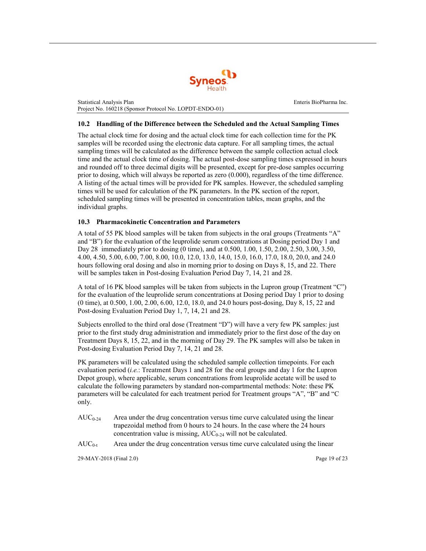

#### <span id="page-19-0"></span>**10.2 Handling of the Difference between the Scheduled and the Actual Sampling Times**

The actual clock time for dosing and the actual clock time for each collection time for the PK samples will be recorded using the electronic data capture. For all sampling times, the actual sampling times will be calculated as the difference between the sample collection actual clock time and the actual clock time of dosing. The actual post-dose sampling times expressed in hours and rounded off to three decimal digits will be presented, except for pre-dose samples occurring prior to dosing, which will always be reported as zero (0.000), regardless of the time difference. A listing of the actual times will be provided for PK samples. However, the scheduled sampling times will be used for calculation of the PK parameters. In the PK section of the report, scheduled sampling times will be presented in concentration tables, mean graphs, and the individual graphs.

#### <span id="page-19-1"></span>**10.3 Pharmacokinetic Concentration and Parameters**

A total of 55 PK blood samples will be taken from subjects in the oral groups (Treatments "A" and "B") for the evaluation of the leuprolide serum concentrations at Dosing period Day 1 and Day 28 immediately prior to dosing (0 time), and at 0.500, 1.00, 1.50, 2.00, 2.50, 3.00, 3.50, 4.00, 4.50, 5.00, 6.00, 7.00, 8.00, 10.0, 12.0, 13.0, 14.0, 15.0, 16.0, 17.0, 18.0, 20.0, and 24.0 hours following oral dosing and also in morning prior to dosing on Days 8, 15, and 22. There will be samples taken in Post-dosing Evaluation Period Day 7, 14, 21 and 28.

A total of 16 PK blood samples will be taken from subjects in the Lupron group (Treatment "C") for the evaluation of the leuprolide serum concentrations at Dosing period Day 1 prior to dosing (0 time), at 0.500, 1.00, 2.00, 6.00, 12.0, 18.0, and 24.0 hours post-dosing, Day 8, 15, 22 and Post-dosing Evaluation Period Day 1, 7, 14, 21 and 28.

Subjects enrolled to the third oral dose (Treatment "D") will have a very few PK samples: just prior to the first study drug administration and immediately prior to the first dose of the day on Treatment Days 8, 15, 22, and in the morning of Day 29. The PK samples will also be taken in Post-dosing Evaluation Period Day 7, 14, 21 and 28.

PK parameters will be calculated using the scheduled sample collection timepoints. For each evaluation period (*i.e.*: Treatment Days 1 and 28 for the oral groups and day 1 for the Lupron Depot group), where applicable, serum concentrations from leuprolide acetate will be used to calculate the following parameters by standard non-compartmental methods: Note: these PK parameters will be calculated for each treatment period for Treatment groups "A", "B" and "C only.

 $AUC_{0.24}$  Area under the drug concentration versus time curve calculated using the linear trapezoidal method from 0 hours to 24 hours. In the case where the 24 hours concentration value is missing,  $AUC_{0.24}$  will not be calculated.

 $AUC_{0-t}$  Area under the drug concentration versus time curve calculated using the linear

29-MAY-2018 (Final 2.0) Page 19 of 23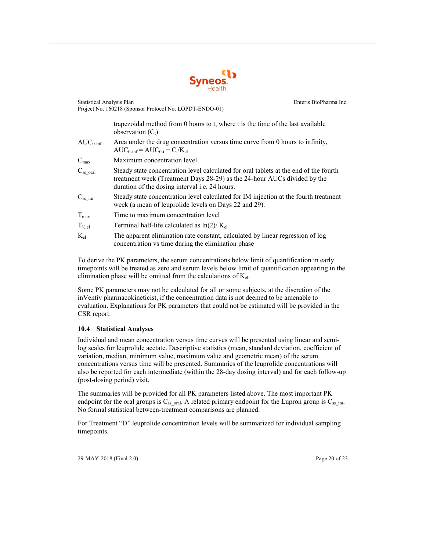

| <b>Statistical Analysis Plan</b><br>Project No. 160218 (Sponsor Protocol No. LOPDT-ENDO-01) |                                                                                                                                                                                                                            | Enteris BioPharma Inc. |
|---------------------------------------------------------------------------------------------|----------------------------------------------------------------------------------------------------------------------------------------------------------------------------------------------------------------------------|------------------------|
|                                                                                             | trapezoidal method from 0 hours to t, where t is the time of the last available<br>observation $(C_t)$                                                                                                                     |                        |
| $AUC_{0\text{-inf}}$                                                                        | Area under the drug concentration versus time curve from 0 hours to infinity,<br>$AUC_{0\text{-inf}} = AUC_{0\text{-t}} + C_t/K_{el}$                                                                                      |                        |
| $C_{\text{max}}$                                                                            | Maximum concentration level                                                                                                                                                                                                |                        |
| $C_{ss}$ oral                                                                               | Steady state concentration level calculated for oral tablets at the end of the fourth<br>treatment week (Treatment Days 28-29) as the 24-hour AUCs divided by the<br>duration of the dosing interval <i>i.e.</i> 24 hours. |                        |
| $C_{ss\_im}$                                                                                | Steady state concentration level calculated for IM injection at the fourth treatment<br>week (a mean of leuprolide levels on Days 22 and 29).                                                                              |                        |
| $T_{\text{max}}$                                                                            | Time to maximum concentration level                                                                                                                                                                                        |                        |
| $T_{\frac{1}{2}el}$                                                                         | Terminal half-life calculated as $\ln(2)/K_{el}$                                                                                                                                                                           |                        |
| $K_{el}$                                                                                    | The apparent elimination rate constant, calculated by linear regression of log<br>concentration vs time during the elimination phase                                                                                       |                        |

To derive the PK parameters, the serum concentrations below limit of quantification in early timepoints will be treated as zero and serum levels below limit of quantification appearing in the elimination phase will be omitted from the calculations of  $K_{el}$ .

Some PK parameters may not be calculated for all or some subjects, at the discretion of the inVentiv pharmacokineticist, if the concentration data is not deemed to be amenable to evaluation. Explanations for PK parameters that could not be estimated will be provided in the CSR report.

#### **10.4 Statistical Analyses**

<span id="page-20-0"></span>Individual and mean concentration versus time curves will be presented using linear and semilog scales for leuprolide acetate. Descriptive statistics (mean, standard deviation, coefficient of variation, median, minimum value, maximum value and geometric mean) of the serum concentrations versus time will be presented. Summaries of the leuprolide concentrations will also be reported for each intermediate (within the 28-day dosing interval) and for each follow-up (post-dosing period) visit.

The summaries will be provided for all PK parameters listed above. The most important PK endpoint for the oral groups is  $C_{ss}$  <sub>oral</sub>. A related primary endpoint for the Lupron group is  $C_{ss}$  im. No formal statistical between-treatment comparisons are planned.

For Treatment "D" leuprolide concentration levels will be summarized for individual sampling timepoints.

29-MAY-2018 (Final 2.0) Page 20 of 23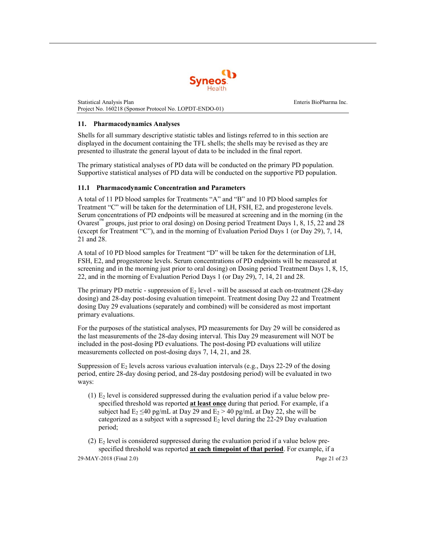

#### <span id="page-21-0"></span>**11. Pharmacodynamics Analyses**

Shells for all summary descriptive statistic tables and listings referred to in this section are displayed in the document containing the TFL shells; the shells may be revised as they are presented to illustrate the general layout of data to be included in the final report.

<span id="page-21-1"></span>The primary statistical analyses of PD data will be conducted on the primary PD population. Supportive statistical analyses of PD data will be conducted on the supportive PD population.

## **11.1 Pharmacodynamic Concentration and Parameters**

A total of 11 PD blood samples for Treatments "A" and "B" and 10 PD blood samples for Treatment "C" will be taken for the determination of LH, FSH, E2, and progesterone levels. Serum concentrations of PD endpoints will be measured at screening and in the morning (in the Ovarest<sup>™</sup> groups, just prior to oral dosing) on Dosing period Treatment Days 1, 8, 15, 22 and 28 (except for Treatment "C"), and in the morning of Evaluation Period Days 1 (or Day 29), 7, 14, 21 and 28.

A total of 10 PD blood samples for Treatment "D" will be taken for the determination of LH, FSH, E2, and progesterone levels. Serum concentrations of PD endpoints will be measured at screening and in the morning just prior to oral dosing) on Dosing period Treatment Days 1, 8, 15, 22, and in the morning of Evaluation Period Days 1 (or Day 29), 7, 14, 21 and 28.

The primary PD metric - suppression of  $E_2$  level - will be assessed at each on-treatment (28-day dosing) and 28-day post-dosing evaluation timepoint. Treatment dosing Day 22 and Treatment dosing Day 29 evaluations (separately and combined) will be considered as most important primary evaluations.

For the purposes of the statistical analyses, PD measurements for Day 29 will be considered as the last measurements of the 28-day dosing interval. This Day 29 measurement will NOT be included in the post-dosing PD evaluations. The post-dosing PD evaluations will utilize measurements collected on post-dosing days 7, 14, 21, and 28.

Suppression of  $E_2$  levels across various evaluation intervals (e.g., Days 22-29 of the dosing period, entire 28-day dosing period, and 28-day postdosing period) will be evaluated in two ways:

(1)  $E<sub>2</sub>$  level is considered suppressed during the evaluation period if a value below prespecified threshold was reported **at least once** during that period. For example, if a subject had  $E_2 \le 40$  pg/mL at Day 29 and  $E_2 > 40$  pg/mL at Day 22, she will be categorized as a subject with a supressed  $E_2$  level during the 22-29 Day evaluation period;

29-MAY-2018 (Final 2.0) Page 21 of 23 (2)  $E_2$  level is considered suppressed during the evaluation period if a value below prespecified threshold was reported **at each timepoint of that period**. For example, if a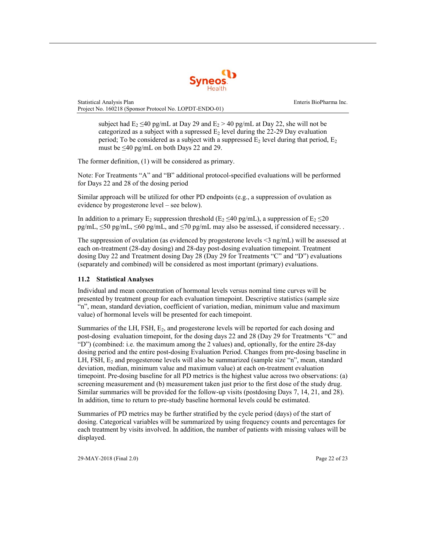

subject had  $E_2 \leq 40$  pg/mL at Day 29 and  $E_2 > 40$  pg/mL at Day 22, she will not be categorized as a subject with a supressed  $E_2$  level during the 22-29 Day evaluation period; To be considered as a subject with a suppressed  $E_2$  level during that period,  $E_2$ must be  $\leq 40$  pg/mL on both Days 22 and 29.

The former definition, (1) will be considered as primary.

Note: For Treatments "A" and "B" additional protocol-specified evaluations will be performed for Days 22 and 28 of the dosing period

Similar approach will be utilized for other PD endpoints (e.g., a suppression of ovulation as evidence by progesterone level – see below).

In addition to a primary E<sub>2</sub> suppression threshold (E<sub>2</sub>  $\leq$ 40 pg/mL), a suppression of E<sub>2</sub>  $\leq$ 20  $pg/mL, \leq 50 pg/mL, \leq 60 pg/mL,$  and  $\leq 70 pg/mL$  may also be assessed, if considered necessary.

The suppression of ovulation (as evidenced by progesterone levels <3 ng/mL) will be assessed at each on-treatment (28-day dosing) and 28-day post-dosing evaluation timepoint. Treatment dosing Day 22 and Treatment dosing Day 28 (Day 29 for Treatments "C" and "D") evaluations (separately and combined) will be considered as most important (primary) evaluations.

## <span id="page-22-0"></span>**11.2 Statistical Analyses**

Individual and mean concentration of hormonal levels versus nominal time curves will be presented by treatment group for each evaluation timepoint. Descriptive statistics (sample size "n", mean, standard deviation, coefficient of variation, median, minimum value and maximum value) of hormonal levels will be presented for each timepoint.

Summaries of the LH, FSH, E2, and progesterone levels will be reported for each dosing and post-dosing evaluation timepoint, for the dosing days 22 and 28 (Day 29 for Treatments "C" and "D") (combined: i.e. the maximum among the 2 values) and, optionally, for the entire 28-day dosing period and the entire post-dosing Evaluation Period. Changes from pre-dosing baseline in LH, FSH,  $E_2$  and progesterone levels will also be summarized (sample size "n", mean, standard deviation, median, minimum value and maximum value) at each on-treatment evaluation timepoint. Pre-dosing baseline for all PD metrics is the highest value across two observations: (a) screening measurement and (b) measurement taken just prior to the first dose of the study drug. Similar summaries will be provided for the follow-up visits (postdosing Days 7, 14, 21, and 28). In addition, time to return to pre-study baseline hormonal levels could be estimated.

Summaries of PD metrics may be further stratified by the cycle period (days) of the start of dosing. Categorical variables will be summarized by using frequency counts and percentages for each treatment by visits involved. In addition, the number of patients with missing values will be displayed.

29-MAY-2018 (Final 2.0) Page 22 of 23